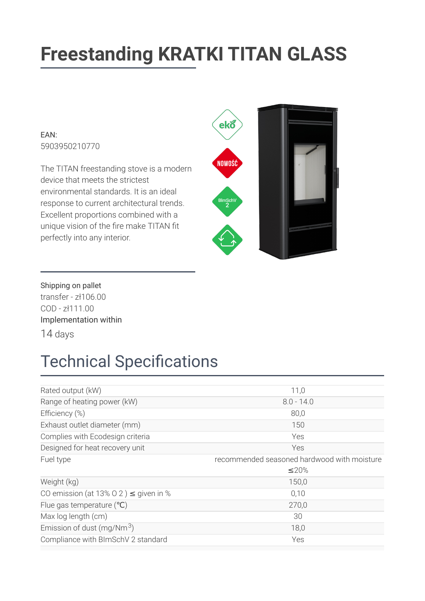# **Freestanding KRATKI TITAN GLASS**

#### $FAN$ 5903950210770

The TITAN freestanding stove is a modern device that meets the strictest environmental standards. It is an ideal response to current architectural trends. Excellent proportions combined with a unique vision of the fire make TITAN fit perfectly into any interior.



Shipping on pallet transfer -  $z$ ł106.00 COD-zł111.00 Implementation within 14 days

### **Technical Specifications**

| Rated output (kW)                          | 11,0                                        |
|--------------------------------------------|---------------------------------------------|
| Range of heating power (kW)                | $8.0 - 14.0$                                |
| Efficiency (%)                             | 80,0                                        |
| Exhaust outlet diameter (mm)               | 150                                         |
| Complies with Ecodesign criteria           | Yes                                         |
| Designed for heat recovery unit            | Yes                                         |
| Fuel type                                  | recommended seasoned hardwood with moisture |
|                                            | $\leq$ 20%                                  |
| Weight (kg)                                | 150,0                                       |
| CO emission (at 13% O 2) $\leq$ given in % | 0,10                                        |
| Flue gas temperature $(°C)$                | 270,0                                       |
| Max log length (cm)                        | 30                                          |
| Emission of dust (mg/Nm $3$ )              | 18,0                                        |
| Compliance with BImSchV 2 standard         | Yes                                         |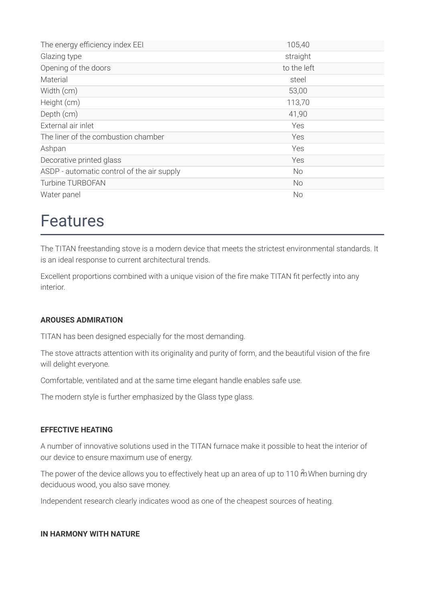| The energy efficiency index EEI            | 105,40      |
|--------------------------------------------|-------------|
| Glazing type                               | straight    |
| Opening of the doors                       | to the left |
| Material                                   | steel       |
| Width (cm)                                 | 53,00       |
| Height (cm)                                | 113,70      |
| Depth (cm)                                 | 41,90       |
| External air inlet                         | Yes         |
| The liner of the combustion chamber        | Yes         |
| Ashpan                                     | Yes         |
| Decorative printed glass                   | Yes         |
| ASDP - automatic control of the air supply | No          |
| Turbine TURBOFAN                           | <b>No</b>   |
| Water panel                                | No          |

### **Features**

The TITAN freestanding stove is a modern device that meets the strictest environmental standards. It is an ideal response to current architectural trends.

Excellent proportions combined with a unique vision of the fire make TITAN fit perfectly into any interior

#### **AROUSES ADMIRATION**

TITAN has been designed especially for the most demanding.

The stove attracts attention with its originality and purity of form, and the beautiful vision of the fire will delight everyone.

Comfortable, ventilated and at the same time elegant handle enables safe use.

The modern style is further emphasized by the Glass type glass.

#### **FFFFCTIVE HEATING**

A number of innovative solutions used in the TITAN furnace make it possible to heat the interior of our device to ensure maximum use of energy.

The power of the device allows you to effectively heat up an area of up to 110 m When burning dry deciduous wood, you also save money.

Independent research clearly indicates wood as one of the cheapest sources of heating.

#### IN HARMONY WITH NATURE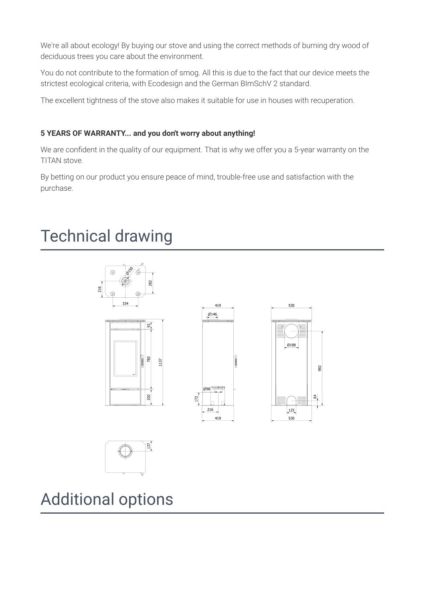We're all about ecology! By buying our stove and using the correct methods of burning dry wood of deciduous trees you care about the environment.

You do not contribute to the formation of smog. All this is due to the fact that our device meets the strictest ecological criteria, with Ecodesign and the German BImSchV 2 standard.

The excellent tightness of the stove also makes it suitable for use in houses with recuperation.

#### 5 YEARS OF WARRANTY... and you don't worry about anything!

We are confident in the quality of our equipment. That is why we offer you a 5-year warranty on the TITAN stove.

By betting on our product you ensure peace of mind, trouble-free use and satisfaction with the purchase.

### **Technical drawing**



**Additional options**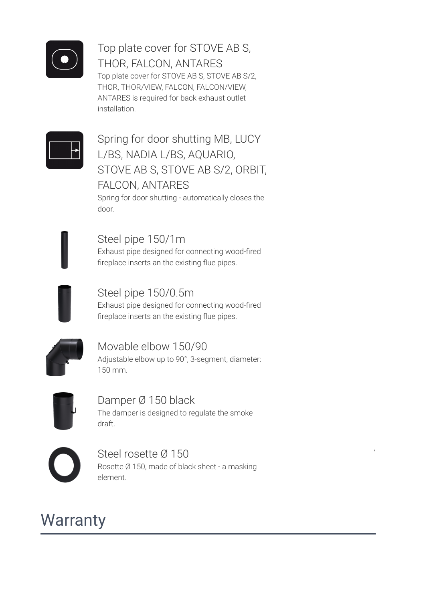

Top plate cover for STOVE AB S, THOR, FALCON, ANTARES Top plate cover for STOVE AB S, STOVE AB S/2, THOR, THOR/VIEW, FALCON, FALCON/VIEW, ANTARES is required for back exhaust outlet installation.



Spring for door shutting MB, LUCY L/BS, NADIA L/BS, AQUARIO, STOVE AB S, STOVE AB S/2, ORBIT, **FALCON, ANTARES** 

Spring for door shutting - automatically closes the door

Steel pipe 150/1m Exhaust pipe designed for connecting wood-fired fireplace inserts an the existing flue pipes.



Steel pipe 150/0.5m

Exhaust pipe designed for connecting wood-fired fireplace inserts an the existing flue pipes.



Movable elbow 150/90 Adjustable elbow up to 90°, 3-segment, diameter: 150 mm.



Damper Ø 150 black The damper is designed to regulate the smoke draft.

Steel rosette Ø 150 Rosette Ø 150, made of black sheet - a masking element.

### **Warranty**